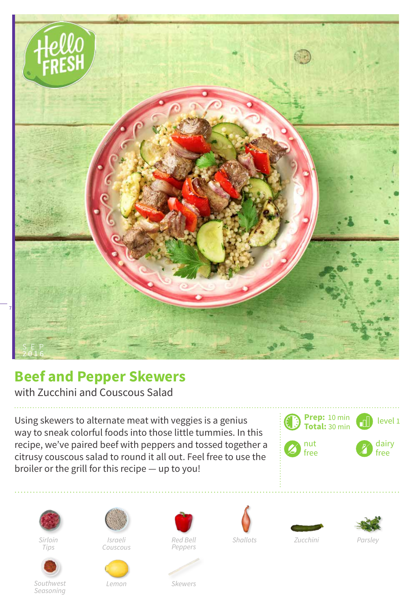

## **Beef and Pepper Skewers**

with Zucchini and Couscous Salad

Using skewers to alternate meat with veggies is a genius way to sneak colorful foods into those little tummies. In this recipe, we've paired beef with peppers and tossed together a citrusy couscous salad to round it all out. Feel free to use the broiler or the grill for this recipe — up to you!





*Sirloin Tips*



*Southwest Seasoning*



*Couscous*

*Lemon*



 $Red$  *Bell Zucchini Zhallots* 







*Shallots Parsley*

*Skewers*